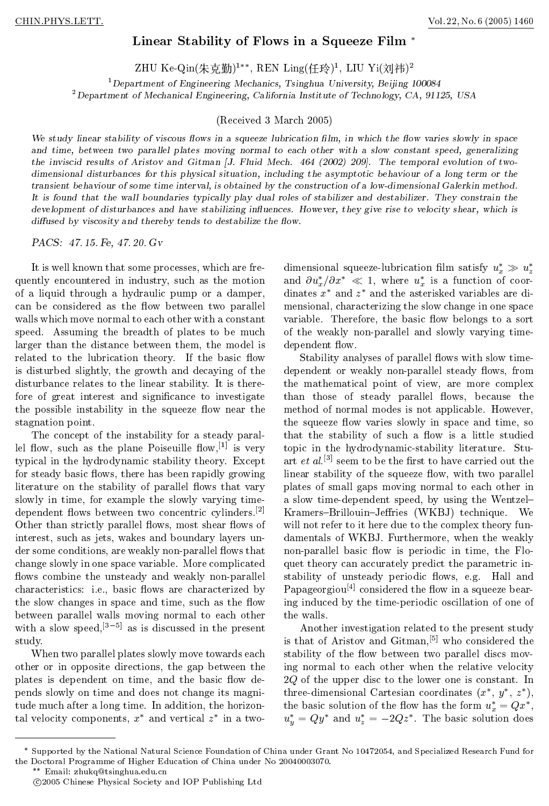## Linear Stability of Flows in a Squeeze Film<sup>\*</sup>

ZHU Ke-QIII(木兄剿)」,KEN LIIII((牛玲),LIU YI(XI)忖)」

<sup>1</sup>Department of Engineering Mechanics, Tsinghua University, Beijing 100084  $^2$ Department of Mechanical Engineering, California Institute of Technology, CA, 91125, USA

(Received 3 March 2005)

We study linear stability of viscous flows in a squeeze lubrication film, in which the flow varies slowly in space and time, between two parallel plates moving normal to each other with a slow constant speed, generalizing the inviscid results of Aristov and Gitman [J. Fluid Mech. 464 (2002) 209]. The temporal evolution of two dimensional disturbances for this physical situation, including the asymptotic behaviour of a long term or the transient behaviour ofsome time interval, is obtained by the construction of a low-dimensional Galerkin method. It is found that the wall boundaries typically play dual roles of stabilizer and destabilizer. They constrain the development of disturbances and have stabilizing influences. However, they give rise to velocity shear, which is diffused by viscosity and thereby tends to destabilize the flow.

PACS: 47. 15. Fe, 47. 20. Gv

It is well known that some processes, which are frequently encountered in industry, such as the motion of a liquid through a hydraulic pump or a damper, can be considered as the flow between two parallel walls which move normal to each other with a constant speed. Assuming the breadth of plates to be much larger than the distance between them, the model is related to the lubrication theory. If the basic flow is disturbed slightly, the growth and decaying of the disturbance relates to the linear stability. It is therefore of great interest and signicance to investigate the possible instability in the squeeze flow near the stagnation point.

The concept of the instability for a steady parallel flow, such as the plane Poiseuille flow,  $[1]$  is very typical in the hydrodynamic stability theory. Except for steady basic flows, there has been rapidly growing literature on the stability of parallel flows that vary slowly in time, for example the slowly varying timedependent flows between two concentric cylinders.<sup>[2]</sup> Other than strictly parallel flows, most shear flows of interest, such as jets, wakes and boundary layers un der some conditions, are weakly non-parallel flows that change slowly in one space variable. More complicated flows combine the unsteady and weakly non-parallel characteristics: i.e., basic flows are characterized by the slow changes in space and time, such as the flow between parallel walls moving normal to each other the walls. with a slow speed,<sup>[3-5]</sup> as is discussed in the present study.

When two parallel plates slowly move towards each other or in opposite directions, the gap between the plates is dependent on time, and the basic flow depends slowly on time and does not change its magnitude much after a long time. In addition, the horizontal velocity components, x and vertical z in a two-  $u_{n} =$ 

dimensional squeeze-lubrication film satisfy  $u_x^* \gg u_z^*$ za alternativo della contratta di una statistica di una statistica di una statistica di una statistica di una and  $\partial u_x^*/\partial x^* \ll 1$ , where  $u_x^*$  is a function of coordinates  $x$  and  $z$  and the asterisked variables are dimensional, characterizing the slow change in one space variable. Therefore, the basic flow belongs to a sort of the weakly non-parallel and slowly varying timedependent flow.

Stability analyses of parallel flows with slow timedependent or weakly non-parallel steady flows, from the mathematical point of view, are more complex than those of steady parallel flows, because the method of normal modes is not applicable. However, the squeeze flow varies slowly in space and time, so that the stability of such a flow is a little studied topic in the hydrodynamic-stability literature. Stuart *et al.*<sup>[3]</sup> seem to be the first to have carried out the linear stability of the squeeze flow, with two parallel plates of small gaps moving normal to each other in a slow time-dependent speed, by using the Wentzel-Kramers-Brillouin-Jeffries (WKBJ) technique. We will not refer to it here due to the complex theory fundamentals of WKBJ. Furthermore, when the weakly non-parallel basic flow is periodic in time, the Floquet theory can accurately predict the parametric instability of unsteady periodic flows, e.g. Hall and Papageorgiou<sup>[4]</sup> considered the flow in a squeeze bearing induced by the time-periodic oscillation of one of

Another investigation related to the present study is that of Aristov and Gitman,[5] who considered the stability of the flow between two parallel discs moving normal to each other when the relative velocity 2Q of the upper disc to the lower one is constant. In three-dimensional Cartesian coordinates  $(x, y, z)$ , the basic solution of the flow has the form  $u_x^* = Qx^*$ , , and the contract of the contract of the contract of the contract of the contract of the contract of the contract of the contract of the contract of the contract of the contract of the contract of the contract of the con  $u_y = Qy$  and  $u_z = -2Qz$ . The basic solution does

Email: zhukq@tsinghua.edu.cn

Supported by the National Natural Science Foundation of China under Grant No 10472054, and Specialized Research Fund for the Doctoral Programme of Higher Education of China under No 20040003070.

<sup>c</sup> 2005 Chinese Physical Society and IOP Publishing Ltd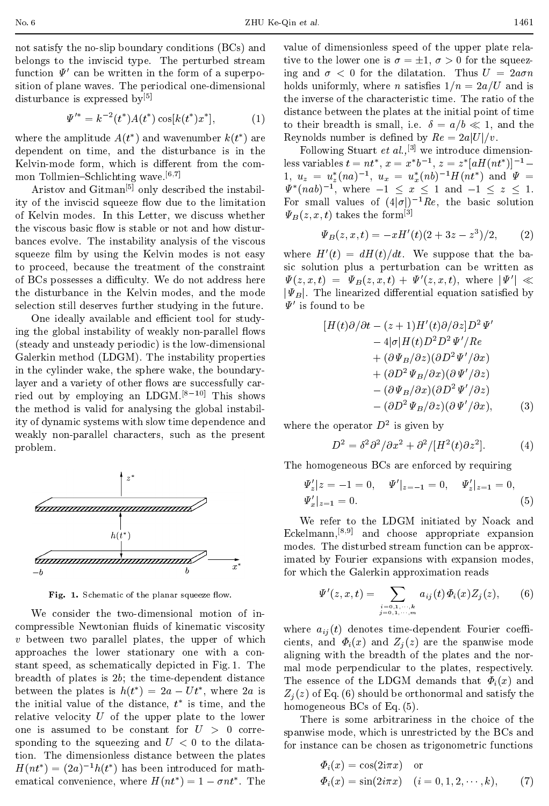disturbance is expressed by<sup>[5]</sup>

 0 = k2 (t )A(t ) cos[k(t )x ]; (1) to their breadth is small, i.e. = a=b 1, and the

where the amplitude  $A(t)$  and wavenumber  $\kappa(t)$  are stress ) are Reynolds number is defined by  $Re = 2a|U|/v$ . dependent on time, and the disturbance is in the Kelvin-mode form, which is different from the common Tollmien-Schlichting wave.<sup>[6,7]</sup>

Aristov and Gitman[5] only described the instability of the inviscid squeeze flow due to the limitation of Kelvin modes. In this Letter, we discuss whether the viscous basic flow is stable or not and how disturbances evolve. The instability analysis of the viscous squeeze film by using the Kelvin modes is not easy to proceed, because the treatment of the constraint of BCs possesses a difficulty. We do not address here the disturbance in the Kelvin modes, and the mode selection still deserves further studying in the future.

One ideally available and efficient tool for studying the global instability of weakly non-parallel flows (steady and unsteady periodic) is the low-dimensional Galerkin method (LDGM). The instability properties in the cylinder wake, the sphere wake, the boundarylayer and a variety of other flows are successfully carried out by employing an LDGM.<sup>[8-10]</sup> This shows the method is valid for analysing the global instability of dynamic systems with slow time dependence and weakly non-parallel characters, such as the present problem.



Fig. 1. Schematic of the planar squeeze ow.

We consider the two-dimensional motion of incompressible Newtonian fluids of kinematic viscosity  $v$  between two parallel plates, the upper of which approaches the lower stationary one with a con stant speed, as schematically depicted in Fig. 1. The breadth of plates is 2b; the time-dependent distance between the plates is  $h(t) = 2a - Ut$ , where 2a is  $Z_i(z)$  of F the initial value of the distance,  $t$  is time, and the  $h_{0}$  homogene relative velocity  $U$  of the upper plate to the lower one is assumed to be constant for  $U > 0$  corresponding to the squeezing and  $U < 0$  to the dilatation. The dimensionless distance between the plates  $H(n\ell) = (2a)^{-1}h(\ell)$  has been introduced for mathematical convenience, where  $H(nt) = 1 - \theta nt$ . The  $\Psi$ 

value of dimensionless speed of the upper plate relative to the lower one is  $\sigma = \pm 1$ ,  $\sigma > 0$  for the squeezing and  $\sigma < 0$  for the dilatation. Thus  $U = 2a\sigma n$ holds uniformly, where *n* satisfies  $1/n = 2a/U$  and is the inverse of the characteristic time. The ratio of the distance between the plates at the initial point of time

Following Stuart et  $al.$ , <sup>[3]</sup> we introduce dimensionless variables  $\iota = n\iota$ ,  $x = x\iota \sigma$ ,  $z = z\iota a\pi(n\iota)$  =  $u_z = u_z(na)$ ,  $u_x = u_x(nb)$   $H(nb)$  and  $\Psi =$  $\Psi^*(nab)^{-1}$ , where  $-1 \leq x \leq 1$  and  $-1 \leq z \leq 1$ . For small values of  $(4|\sigma|)^{-1}Re$ , the basic solution  $\Psi_B(z, x, t)$  takes the form<sup>[3]</sup>

$$
\Psi_B(z, x, t) = -xH'(t)(2 + 3z - z^3)/2, \qquad (2)
$$

where  $H'(t) = dH(t)/dt$ . We suppose that the basic solution plus a perturbation can be written as  $\Psi(z, x, t) = \Psi_B(z, x, t) + \Psi'(z, x, t)$ , where  $|\Psi'| \ll$  $|\Psi_B|$ . The linearized differential equation satisfied by  $\Psi'$  is found to be

$$
[H(t)\partial/\partial t - (z+1)H'(t)\partial/\partial z]D^2 \Psi'
$$
  
\n
$$
- 4|\sigma|H(t)D^2 D^2 \Psi'/Re
$$
  
\n
$$
+ (\partial \Psi_B/\partial z)(\partial D^2 \Psi'/\partial x)
$$
  
\n
$$
+ (\partial D^2 \Psi_B/\partial x)(\partial \Psi'/\partial z)
$$
  
\n
$$
- (\partial \Psi_B/\partial x)(\partial D^2 \Psi'/\partial z)
$$
  
\n
$$
- (\partial D^2 \Psi_B/\partial z)(\partial \Psi'/\partial x), \qquad (3)
$$

where the operator  $D$  is given by

$$
D^2 = \delta^2 \partial^2 / \partial x^2 + \partial^2 / [H^2(t) \partial z^2]. \tag{4}
$$

The homogeneous BCs are enforced by requiring

$$
\Psi'_z|z = -1 = 0, \quad \Psi'|_{z=-1} = 0, \quad \Psi'_z|_{z=1} = 0,
$$
  

$$
\Psi'_x|_{z=1} = 0.
$$
 (5)

We refer to the LDGM initiated by Noack and Eckelmann,[8;9] and choose appropriate expansion modes. The disturbed stream function can be approximated by Fourier expansions with expansion modes, for which the Galerkin approximation reads

$$
\Psi'(z,x,t) = \sum_{\substack{i=0,1,\cdots,k \\ j=0,1,\cdots,m}} a_{ij}(t) \Phi_i(x) Z_j(z), \qquad (6)
$$

where  $a_{ij}(t)$  denotes time-dependent Fourier coefficients, and  $\Phi_i(x)$  and  $Z_i(z)$  are the spanwise mode aligning with the breadth of the plates and the nor mal mode perpendicular to the plates, respectively. The essence of the LDGM demands that  $\Phi_i(x)$  and  $Z_i(z)$  of Eq. (6) should be orthonormal and satisfy the homogeneous  $BCs$  of Eq.  $(5)$ .

There is some arbitrariness in the choice of the spanwise mode, which is unrestricted by the BCs and for instance can be chosen as trigonometric functions

$$
\Phi_i(x) = \cos(2i\pi x) \quad \text{or}
$$
  
\n
$$
\Phi_i(x) = \sin(2i\pi x) \quad (i = 0, 1, 2, \cdots, k), \quad (7)
$$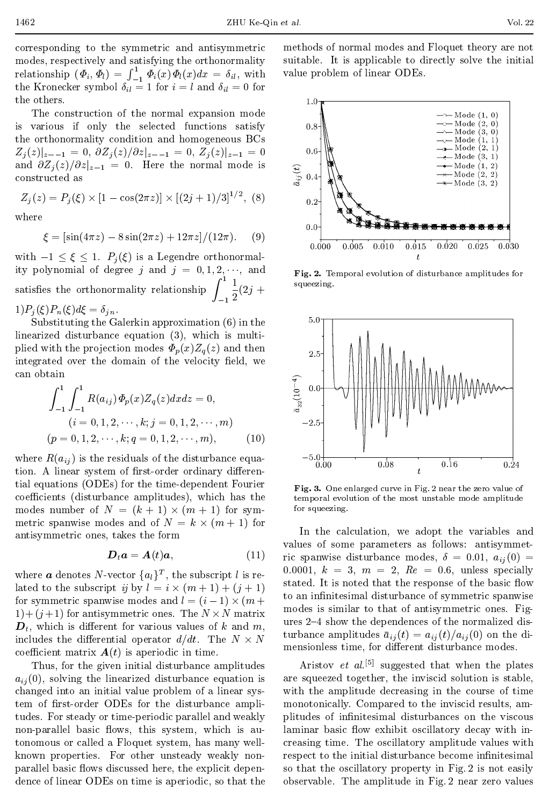corresponding to the symmetric and antisymmetric modes, respectively and satisfying the orthonormality relationship  $(\varPhi_i, \varPhi_l) = \int_{-1}^{1} \varPhi_i(x) \varPhi_l(x) dx = \delta_{il}$ , with value probler the Kronecker symbol  $\delta_{il} = 1$  for  $i = l$  and  $\delta_{il} = 0$  for the others.

The construction of the normal expansion mode is various if only the selected functions satisfy the orthonormality condition and homogeneous BCs  $Z_j(z)|_{z=-1} = 0, \ \partial Z_j(z)/\partial z|_{z=-1} = 0, \ Z_j(z)|_{z=1} = 0$  0.6 and  $\partial Z_j(z)/\partial z|_{z=1} = 0$ . Here the normal mode is constructed as constructed as

$$
Z_j(z) = P_j(\xi) \times [1 - \cos(2\pi z)] \times [(2j + 1)/3]^{1/2}, (8)
$$

$$
\xi = \left[\sin(4\pi z) - 8\sin(2\pi z) + 12\pi z\right] / (12\pi). \tag{9}
$$

with  $-1 \leq \xi \leq 1$ .  $P_j(\xi)$  is a Legendre orthonormality polynomial of degree j and  $j = 0, 1, 2, \dots$ , and satisfies the orthonormality relationship  $\int_{-1}^{1} \frac{1}{2} (2j + )$  squeezing.  $1)P_j(\xi)P_n(\xi)d\xi = \delta_{jn}.$ 

Substituting the Galerkin approximation (6) in the linearized disturbance equation (3), which is multiplied with the projection modes  $\Phi_p(x)Z_q(z)$  and then  $2.5$ integrated over the domain of the velocity field, we can obtain

$$
\int_{-1}^{1} \int_{-1}^{1} R(a_{ij}) \Phi_p(x) Z_q(z) dx dz = 0, \qquad \qquad \underset{\underset{\text{is}}{\sim}}{\overset{\simeq}{\underset{\text{is}}{\sim}}} 0.0
$$
\n
$$
(i = 0, 1, 2, \cdots, k; j = 0, 1, 2, \cdots, m) \qquad \qquad -2.5
$$
\n
$$
(p = 0, 1, 2, \cdots, k; q = 0, 1, 2, \cdots, m), \qquad (10)
$$

where  $R(a_{ij})$  is the residuals of the disturbance equation. A linear system of first-order ordinary differential equations (ODEs) for the time-dependent Fourier coefficients (disturbance amplitudes), which has the modes number of  $N = (k + 1) \times (m + 1)$  for sym- for squ metric spanwise modes and of  $N = k \times (m + 1)$  for antisymmetric ones, takes the form

$$
\boldsymbol{D}_t \boldsymbol{a} = \boldsymbol{A}(t) \boldsymbol{a}, \tag{11}
$$

where **a** denotes N-vector  $\{a_l\}^T$ , the subscript l is related to the subscript  $\eta$  by  $l = i \times (m + 1) + (i + 1)$ for symmetric spanwise modes and  $l = (i - 1) \times (m +$  $1+(j+1)$  for antisymmetric ones. The  $N \times N$  matrix  $\mathbf{D}_t$ , which is different for various values of k and m, includes the differential operator  $d/dt$ . The  $N \times N$ coefficient matrix  $A(t)$  is aperiodic in time.

Thus, for the given initial disturbance amplitudes  $a_{ij} (0)$ , solving the linearized disturbance equation is changed into an initial value problem of a linear system of first-order ODEs for the disturbance amplitudes. For steady or time-periodic parallel and weakly non-parallel basic flows, this system, which is autonomous or called a Floquet system, has many wellknown properties. For other unsteady weakly non parallel basic flows discussed here, the explicit dependence of linear ODEs on time is aperiodic, so that the methods of normal modes and Floquet theory are not suitable. It is applicable to directly solve the initial value problem of linear ODEs.



Fig. 2. Temporal evolution of disturbance amplitudes for squeezing.



Fig. 3. One enlarged curve in Fig. 2 near the zero value of temporal evolution of the most unstable mode amplitude for squeezing.

 $D_t a = A(t)a$ , (11) ric spanwise disturbance modes,  $\delta = 0.01, a_{ij}(0) =$  $\sum_{k=1}^{\infty}$  modes is similar to that of antisymmetric ones. Fig- $\frac{1}{2}$  matrix ures 2-4 show the dependences of the normalized dismensionless time, for different disturbance modes. In the calculation, we adopt the variables and values of some parameters as follows: antisymmet-0.0001,  $k = 3$ ,  $m = 2$ ,  $Re = 0.6$ , unless specially stated. It is noted that the response of the basic flow to an infinitesimal disturbance of symmetric spanwise turbance amplitudes  $\bar{a}_{ij}(t)=a_{ij}(t)/a_{ij}(0)$  on the di-

> Aristov  $et$   $al.$ <sup>[5]</sup> suggested that when the plates are squeezed together, the inviscid solution is stable, with the amplitude decreasing in the course of time monotonically. Compared to the inviscid results, am plitudes of infinitesimal disturbances on the viscous laminar basic flow exhibit oscillatory decay with increasing time. The oscillatory amplitude values with respect to the initial disturbance become infinitesimal so that the oscillatory property in Fig. 2 is not easily observable. The amplitude in Fig. 2 near zero values